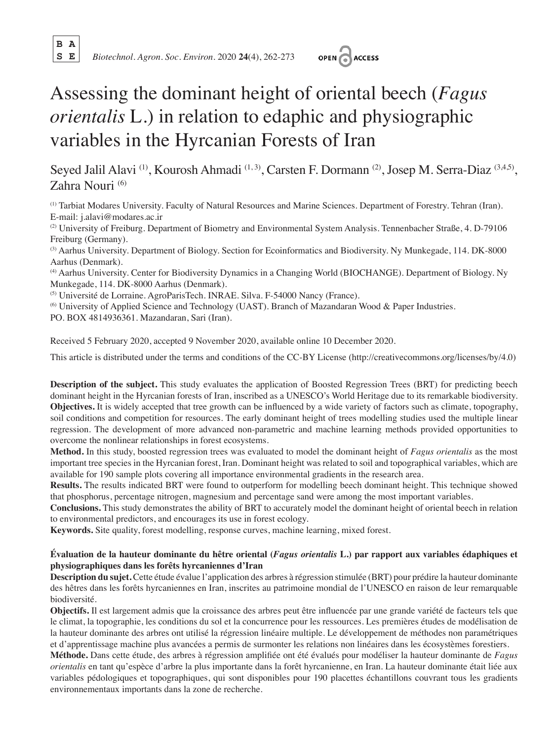**B A**

**S E** *Biotechnol. Agron. Soc. Environ.* 2020 **24**(4), 262-273



# Assessing the dominant height of oriental beech (*Fagus orientalis* L.) in relation to edaphic and physiographic variables in the Hyrcanian Forests of Iran

Seyed Jalil Alavi<sup>(1)</sup>, Kourosh Ahmadi<sup>(1, 3)</sup>, Carsten F. Dormann<sup>(2)</sup>, Josep M. Serra-Diaz<sup>(3,4,5)</sup>, Zahra Nouri (6)

(1) Tarbiat Modares University. Faculty of Natural Resources and Marine Sciences. Department of Forestry. Tehran (Iran). E-mail: j.alavi@modares.ac.ir

(2) University of Freiburg. Department of Biometry and Environmental System Analysis. Tennenbacher Straße, 4. D-79106 Freiburg (Germany).

(3) Aarhus University. Department of Biology. Section for Ecoinformatics and Biodiversity. Ny Munkegade, 114. DK-8000 Aarhus (Denmark).

(4) Aarhus University. Center for Biodiversity Dynamics in a Changing World (BIOCHANGE). Department of Biology. Ny Munkegade, 114. DK-8000 Aarhus (Denmark).

(5) Université de Lorraine. AgroParisTech. INRAE. Silva. F-54000 Nancy (France).

(6) University of Applied Science and Technology (UAST). Branch of Mazandaran Wood & Paper Industries.

PO. BOX 4814936361. Mazandaran, Sari (Iran).

Received 5 February 2020, accepted 9 November 2020, available online 10 December 2020.

This article is distributed under the terms and conditions of the CC-BY License (http://creativecommons.org/licenses/by/4.0)

**Description of the subject.** This study evaluates the application of Boosted Regression Trees (BRT) for predicting beech dominant height in the Hyrcanian forests of Iran, inscribed as a UNESCO's World Heritage due to its remarkable biodiversity. **Objectives.** It is widely accepted that tree growth can be influenced by a wide variety of factors such as climate, topography, soil conditions and competition for resources. The early dominant height of trees modelling studies used the multiple linear regression. The development of more advanced non-parametric and machine learning methods provided opportunities to overcome the nonlinear relationships in forest ecosystems.

**Method.** In this study, boosted regression trees was evaluated to model the dominant height of *Fagus orientalis* as the most important tree species in the Hyrcanian forest, Iran. Dominant height was related to soil and topographical variables, which are available for 190 sample plots covering all importance environmental gradients in the research area.

**Results.** The results indicated BRT were found to outperform for modelling beech dominant height. This technique showed that phosphorus, percentage nitrogen, magnesium and percentage sand were among the most important variables.

**Conclusions.** This study demonstrates the ability of BRT to accurately model the dominant height of oriental beech in relation to environmental predictors, and encourages its use in forest ecology.

**Keywords.** Site quality, forest modelling, response curves, machine learning, mixed forest.

# **Évaluation de la hauteur dominante du hêtre oriental (***Fagus orientalis* **L.) par rapport aux variables édaphiques et physiographiques dans les forêts hyrcaniennes d'Iran**

**Description du sujet.** Cette étude évalue l'application des arbres à régression stimulée (BRT) pour prédire la hauteur dominante des hêtres dans les forêts hyrcaniennes en Iran, inscrites au patrimoine mondial de l'UNESCO en raison de leur remarquable biodiversité.

**Objectifs.** Il est largement admis que la croissance des arbres peut être influencée par une grande variété de facteurs tels que le climat, la topographie, les conditions du sol et la concurrence pour les ressources. Les premières études de modélisation de la hauteur dominante des arbres ont utilisé la régression linéaire multiple. Le développement de méthodes non paramétriques et d'apprentissage machine plus avancées a permis de surmonter les relations non linéaires dans les écosystèmes forestiers.

**Méthode.** Dans cette étude, des arbres à régression amplifiée ont été évalués pour modéliser la hauteur dominante de *Fagus orientalis* en tant qu'espèce d'arbre la plus importante dans la forêt hyrcanienne, en Iran. La hauteur dominante était liée aux variables pédologiques et topographiques, qui sont disponibles pour 190 placettes échantillons couvrant tous les gradients environnementaux importants dans la zone de recherche.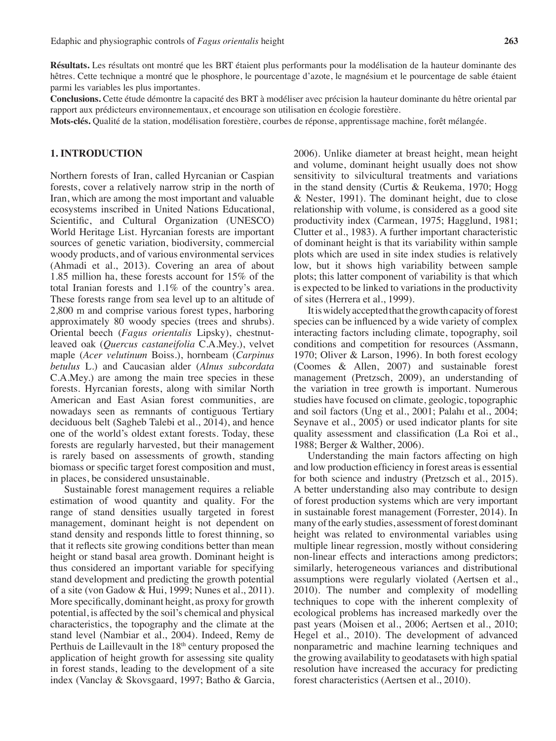**Résultats.** Les résultats ont montré que les BRT étaient plus performants pour la modélisation de la hauteur dominante des hêtres. Cette technique a montré que le phosphore, le pourcentage d'azote, le magnésium et le pourcentage de sable étaient parmi les variables les plus importantes.

**Conclusions.** Cette étude démontre la capacité des BRT à modéliser avec précision la hauteur dominante du hêtre oriental par rapport aux prédicteurs environnementaux, et encourage son utilisation en écologie forestière.

**Mots-clés.** Qualité de la station, modélisation forestière, courbes de réponse, apprentissage machine, forêt mélangée.

## **1. INTRODUCTION**

Northern forests of Iran, called Hyrcanian or Caspian forests, cover a relatively narrow strip in the north of Iran, which are among the most important and valuable ecosystems inscribed in United Nations Educational, Scientific, and Cultural Organization (UNESCO) World Heritage List. Hyrcanian forests are important sources of genetic variation, biodiversity, commercial woody products, and of various environmental services (Ahmadi et al., 2013). Covering an area of about 1.85 million ha, these forests account for 15% of the total Iranian forests and 1.1% of the country's area. These forests range from sea level up to an altitude of 2,800 m and comprise various forest types, harboring approximately 80 woody species (trees and shrubs). Oriental beech (*Fagus orientalis* Lipsky), chestnutleaved oak (*Quercus castaneifolia* C.A.Mey.), velvet maple (*Acer velutinum* Boiss.), hornbeam (*Carpinus betulus* L.) and Caucasian alder (*Alnus subcordata* C.A.Mey.) are among the main tree species in these forests. Hyrcanian forests, along with similar North American and East Asian forest communities, are nowadays seen as remnants of contiguous Tertiary deciduous belt (Sagheb Talebi et al., 2014), and hence one of the world's oldest extant forests. Today, these forests are regularly harvested, but their management is rarely based on assessments of growth, standing biomass or specific target forest composition and must, in places, be considered unsustainable.

Sustainable forest management requires a reliable estimation of wood quantity and quality. For the range of stand densities usually targeted in forest management, dominant height is not dependent on stand density and responds little to forest thinning, so that it reflects site growing conditions better than mean height or stand basal area growth. Dominant height is thus considered an important variable for specifying stand development and predicting the growth potential of a site (von Gadow & Hui, 1999; Nunes et al., 2011). More specifically, dominant height, as proxy for growth potential, is affected by the soil's chemical and physical characteristics, the topography and the climate at the stand level (Nambiar et al., 2004). Indeed, Remy de Perthuis de Laillevault in the 18<sup>th</sup> century proposed the application of height growth for assessing site quality in forest stands, leading to the development of a site index (Vanclay & Skovsgaard, 1997; Batho & Garcia,

2006). Unlike diameter at breast height, mean height and volume, dominant height usually does not show sensitivity to silvicultural treatments and variations in the stand density (Curtis & Reukema, 1970; Hogg & Nester, 1991). The dominant height, due to close relationship with volume, is considered as a good site productivity index (Carmean, 1975; Hagglund, 1981; Clutter et al., 1983). A further important characteristic of dominant height is that its variability within sample plots which are used in site index studies is relatively low, but it shows high variability between sample plots; this latter component of variability is that which is expected to be linked to variations in the productivity of sites (Herrera et al., 1999).

It is widely accepted that the growth capacity of forest species can be influenced by a wide variety of complex interacting factors including climate, topography, soil conditions and competition for resources (Assmann, 1970; Oliver & Larson, 1996). In both forest ecology (Coomes & Allen, 2007) and sustainable forest management (Pretzsch, 2009), an understanding of the variation in tree growth is important. Numerous studies have focused on climate, geologic, topographic and soil factors (Ung et al., 2001; Palahı et al., 2004; Seynave et al., 2005) or used indicator plants for site quality assessment and classification (La Roi et al., 1988; Berger & Walther, 2006).

Understanding the main factors affecting on high and low production efficiency in forest areas is essential for both science and industry (Pretzsch et al., 2015). A better understanding also may contribute to design of forest production systems which are very important in sustainable forest management (Forrester, 2014). In many of the early studies, assessment of forest dominant height was related to environmental variables using multiple linear regression, mostly without considering non-linear effects and interactions among predictors; similarly, heterogeneous variances and distributional assumptions were regularly violated (Aertsen et al., 2010). The number and complexity of modelling techniques to cope with the inherent complexity of ecological problems has increased markedly over the past years (Moisen et al., 2006; Aertsen et al., 2010; Hegel et al., 2010). The development of advanced nonparametric and machine learning techniques and the growing availability to geodatasets with high spatial resolution have increased the accuracy for predicting forest characteristics (Aertsen et al., 2010).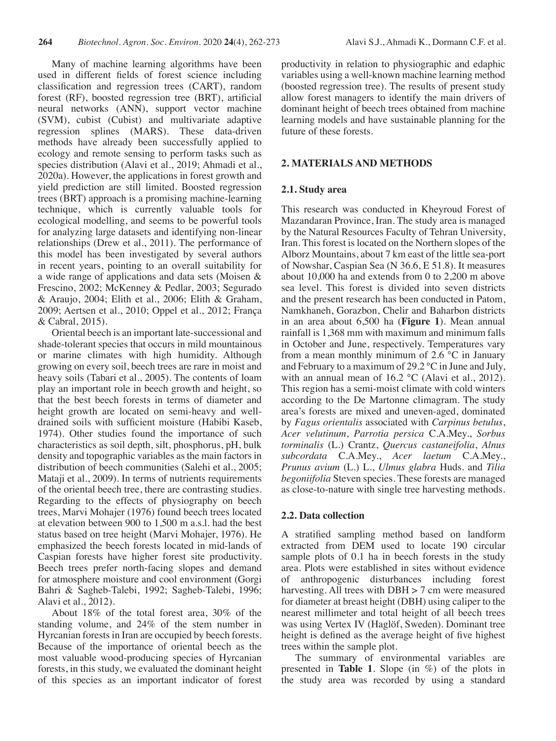Many of machine learning algorithms have been used in different fields of forest science including classification and regression trees (CART), random forest (RF), boosted regression tree (BRT), artificial neural networks (ANN), support vector machine (SVM), cubist (Cubist) and multivariate adaptive regression splines (MARS). These data-driven methods have already been successfully applied to ecology and remote sensing to perform tasks such as species distribution (Alavi et al., 2019; Ahmadi et al., 2020a). However, the applications in forest growth and yield prediction are still limited. Boosted regression trees (BRT) approach is a promising machine-learning technique, which is currently valuable tools for ecological modelling, and seems to be powerful tools for analyzing large datasets and identifying non-linear relationships (Drew et al., 2011). The performance of this model has been investigated by several authors in recent years, pointing to an overall suitability for a wide range of applications and data sets (Moisen & Frescino, 2002; McKenney & Pedlar, 2003; Segurado & Araujo, 2004; Elith et al., 2006; Elith & Graham, 2009; Aertsen et al., 2010; Oppel et al., 2012; França & Cabral, 2015).

Oriental beech is an important late-successional and shade-tolerant species that occurs in mild mountainous or marine climates with high humidity. Although growing on every soil, beech trees are rare in moist and heavy soils (Tabari et al., 2005). The contents of loam play an important role in beech growth and height, so that the best beech forests in terms of diameter and height growth are located on semi-heavy and welldrained soils with sufficient moisture (Habibi Kaseb, 1974). Other studies found the importance of such characteristics as soil depth, silt, phosphorus, pH, bulk density and topographic variables as the main factors in distribution of beech communities (Salehi et al., 2005; Mataji et al., 2009). In terms of nutrients requirements of the oriental beech tree, there are contrasting studies. Regarding to the effects of physiography on beech trees, Marvi Mohajer (1976) found beech trees located at elevation between 900 to 1,500 m a.s.l. had the best status based on tree height (Marvi Mohajer, 1976). He emphasized the beech forests located in mid-lands of Caspian forests have higher forest site productivity. Beech trees prefer north-facing slopes and demand for atmosphere moisture and cool environment (Gorgi Bahri & Sagheb-Talebi, 1992; Sagheb-Talebi, 1996; Alavi et al., 2012).

About 18% of the total forest area, 30% of the standing volume, and 24% of the stem number in Hyrcanian forests in Iran are occupied by beech forests. Because of the importance of oriental beech as the most valuable wood-producing species of Hyrcanian forests, in this study, we evaluated the dominant height of this species as an important indicator of forest productivity in relation to physiographic and edaphic variables using a well-known machine learning method (boosted regression tree). The results of present study allow forest managers to identify the main drivers of dominant height of beech trees obtained from machine learning models and have sustainable planning for the future of these forests.

# **2. MATERIALS AND METHODS**

# **2.1. Study area**

This research was conducted in Kheyroud Forest of Mazandaran Province, Iran. The study area is managed by the Natural Resources Faculty of Tehran University, Iran. This forest is located on the Northern slopes of the Alborz Mountains, about 7 km east of the little sea-port of Nowshar, Caspian Sea (N 36.6, E 51.8). It measures about 10,000 ha and extends from 0 to 2,200 m above sea level. This forest is divided into seven districts and the present research has been conducted in Patom, Namkhaneh, Gorazbon, Chelir and Baharbon districts in an area about 6,500 ha (**Figure 1**). Mean annual rainfall is 1,368 mm with maximum and minimum falls in October and June, respectively. Temperatures vary from a mean monthly minimum of 2.6  $\degree$ C in January and February to a maximum of 29.2 °C in June and July, with an annual mean of 16.2 °C (Alavi et al., 2012). This region has a semi-moist climate with cold winters according to the De Martonne climagram. The study area's forests are mixed and uneven-aged, dominated by *Fagus orientalis* associated with *Carpinus betulus*, *Acer velutinum*, *Parrotia persica* C.A.Mey., *Sorbus torminalis* (L.) Crantz, *Quercus castaneifolia*, *Alnus subcordata* C.A.Mey., *Acer laetum* C.A.Mey., *Prunus avium* (L.) L., *Ulmus glabra* Huds. and *Tilia begoniifolia* Steven species. These forests are managed as close-to-nature with single tree harvesting methods.

# **2.2. Data collection**

A stratified sampling method based on landform extracted from DEM used to locate 190 circular sample plots of 0.1 ha in beech forests in the study area. Plots were established in sites without evidence of anthropogenic disturbances including forest harvesting. All trees with DBH > 7 cm were measured for diameter at breast height (DBH) using caliper to the nearest millimeter and total height of all beech trees was using Vertex IV (Haglöf, Sweden). Dominant tree height is defined as the average height of five highest trees within the sample plot.

The summary of environmental variables are presented in **Table 1**. Slope (in %) of the plots in the study area was recorded by using a standard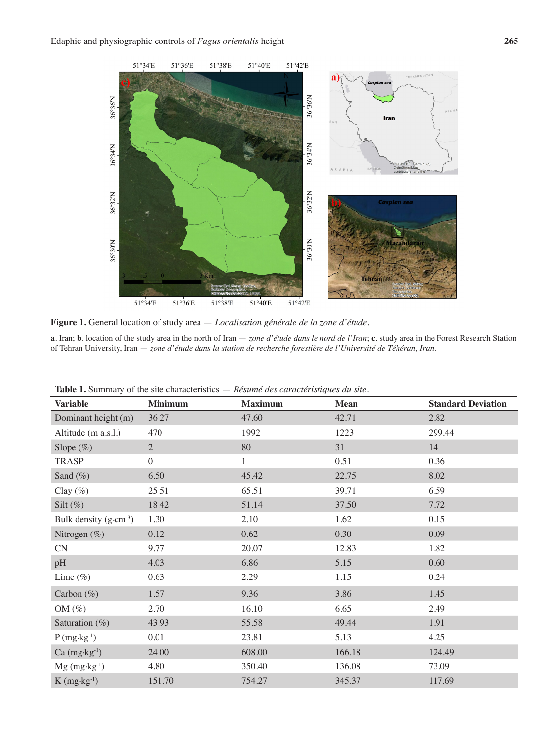

**Figure 1.** General location of study area — *Localisation générale de la zone d'étude*.

**a**. Iran; **b**. location of the study area in the north of Iran — *zone d'étude dans le nord de l'Iran*; **c**. study area in the Forest Research Station of Tehran University, Iran — *zone d'étude dans la station de recherche forestière de l'Université de Téhéran, Iran.* 

| <b>Variable</b>                    | <b>Minimum</b> | <b>Maximum</b> | <b>Mean</b> | <b>Standard Deviation</b> |
|------------------------------------|----------------|----------------|-------------|---------------------------|
| Dominant height (m)                | 36.27          | 47.60          | 42.71       | 2.82                      |
| Altitude (m a.s.l.)                | 470            | 1992           | 1223        | 299.44                    |
| Slope $(\%)$                       | $\overline{2}$ | 80             | 31          | 14                        |
| <b>TRASP</b>                       | $\overline{0}$ | $\mathbf{1}$   | 0.51        | 0.36                      |
| Sand $(\%)$                        | 6.50           | 45.42          | 22.75       | 8.02                      |
| Clay $(\%)$                        | 25.51          | 65.51          | 39.71       | 6.59                      |
| Silt $(\%)$                        | 18.42          | 51.14          | 37.50       | 7.72                      |
| Bulk density $(g \cdot cm^{-3})$   | 1.30           | 2.10           | 1.62        | 0.15                      |
| Nitrogen $(\%)$                    | 0.12           | 0.62           | 0.30        | 0.09                      |
| CN                                 | 9.77           | 20.07          | 12.83       | 1.82                      |
| pH                                 | 4.03           | 6.86           | 5.15        | 0.60                      |
| Lime $(\%)$                        | 0.63           | 2.29           | 1.15        | 0.24                      |
| Carbon $(\%)$                      | 1.57           | 9.36           | 3.86        | 1.45                      |
| OM $(\%)$                          | 2.70           | 16.10          | 6.65        | 2.49                      |
| Saturation $(\%)$                  | 43.93          | 55.58          | 49.44       | 1.91                      |
| $P(mg \cdot kg^{-1})$              | 0.01           | 23.81          | 5.13        | 4.25                      |
| $Ca (mg \cdot kg^{-1})$            | 24.00          | 608.00         | 166.18      | 124.49                    |
| $Mg (mg \cdot kg^{-1})$            | 4.80           | 350.40         | 136.08      | 73.09                     |
| $K$ (mg $\cdot$ kg <sup>-1</sup> ) | 151.70         | 754.27         | 345.37      | 117.69                    |

**Table 1.** Summary of the site characteristics — *Résumé des caractéristiques du site.*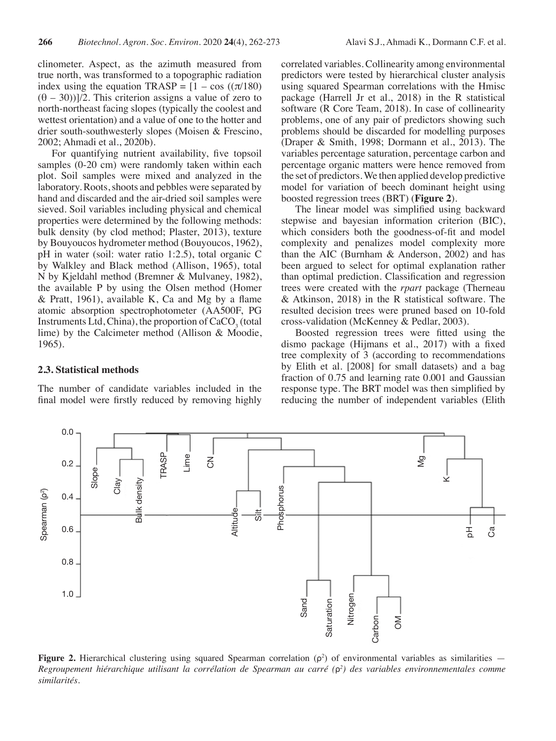clinometer. Aspect, as the azimuth measured from true north, was transformed to a topographic radiation index using the equation TRASP =  $[1 - \cos((\pi/180))$  $(\theta - 30)$ ]/2. This criterion assigns a value of zero to north-northeast facing slopes (typically the coolest and wettest orientation) and a value of one to the hotter and drier south-southwesterly slopes (Moisen & Frescino, 2002; Ahmadi et al., 2020b).

For quantifying nutrient availability, five topsoil samples (0-20 cm) were randomly taken within each plot. Soil samples were mixed and analyzed in the laboratory. Roots, shoots and pebbles were separated by hand and discarded and the air-dried soil samples were sieved. Soil variables including physical and chemical properties were determined by the following methods: bulk density (by clod method; Plaster, 2013), texture by Bouyoucos hydrometer method (Bouyoucos, 1962), pH in water (soil: water ratio 1:2.5), total organic C by Walkley and Black method (Allison, 1965), total N by Kjeldahl method (Bremner & Mulvaney, 1982), the available P by using the Olsen method (Homer & Pratt, 1961), available K, Ca and Mg by a flame atomic absorption spectrophotometer (AA500F, PG Instruments Ltd, China), the proportion of  $CaCO<sub>3</sub>$  (total lime) by the Calcimeter method (Allison & Moodie, 1965).

#### **2.3. Statistical methods**

The number of candidate variables included in the final model were firstly reduced by removing highly correlated variables. Collinearity among environmental predictors were tested by hierarchical cluster analysis using squared Spearman correlations with the Hmisc package (Harrell Jr et al., 2018) in the R statistical software (R Core Team, 2018). In case of collinearity problems, one of any pair of predictors showing such problems should be discarded for modelling purposes (Draper & Smith, 1998; Dormann et al., 2013). The variables percentage saturation, percentage carbon and percentage organic matters were hence removed from the set of predictors. We then applied develop predictive model for variation of beech dominant height using boosted regression trees (BRT) (**Figure 2**).

The linear model was simplified using backward stepwise and bayesian information criterion (BIC), which considers both the goodness-of-fit and model complexity and penalizes model complexity more than the AIC (Burnham & Anderson, 2002) and has been argued to select for optimal explanation rather than optimal prediction. Classification and regression trees were created with the *rpart* package (Therneau & Atkinson, 2018) in the R statistical software. The resulted decision trees were pruned based on 10-fold cross-validation (McKenney & Pedlar, 2003).

Boosted regression trees were fitted using the dismo package (Hijmans et al., 2017) with a fixed tree complexity of 3 (according to recommendations by Elith et al. [2008] for small datasets) and a bag fraction of 0.75 and learning rate 0.001 and Gaussian response type. The BRT model was then simplified by reducing the number of independent variables (Elith



**Figure 2.** Hierarchical clustering using squared Spearman correlation  $(\rho^2)$  of environmental variables as similarities  $-$ *Regroupement hiérarchique utilisant la corrélation de Spearman au carré (*ρ*<sup>2</sup> ) des variables environnementales comme similarités*.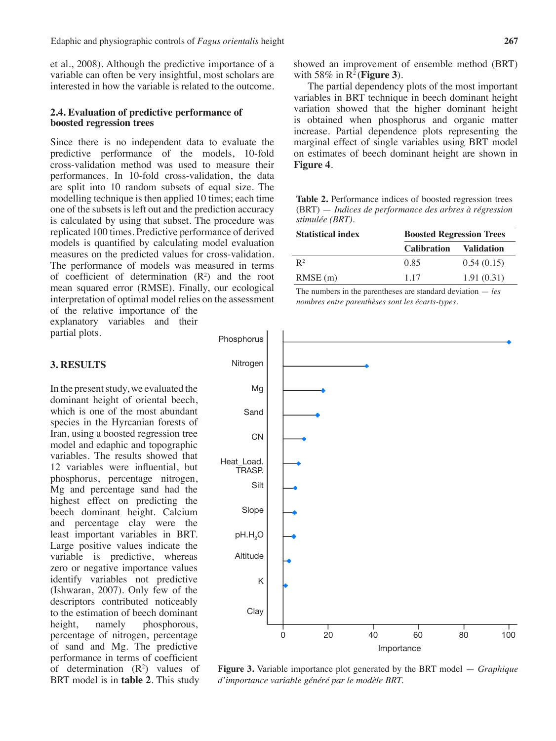et al., 2008). Although the predictive importance of a variable can often be very insightful, most scholars are interested in how the variable is related to the outcome.

## **2.4. Evaluation of predictive performance of boosted regression trees**

Since there is no independent data to evaluate the predictive performance of the models, 10-fold cross-validation method was used to measure their performances. In 10-fold cross-validation, the data are split into 10 random subsets of equal size. The modelling technique is then applied 10 times; each time one of the subsets is left out and the prediction accuracy is calculated by using that subset. The procedure was replicated 100 times. Predictive performance of derived models is quantified by calculating model evaluation measures on the predicted values for cross-validation. The performance of models was measured in terms of coefficient of determination  $(R^2)$  and the root mean squared error (RMSE). Finally, our ecological interpretation of optimal model relies on the assessment of the relative importance of the

explanatory variables and their partial plots.

### **3. RESULTS**

In the present study, we evaluated the dominant height of oriental beech, which is one of the most abundant species in the Hyrcanian forests of Iran, using a boosted regression tree model and edaphic and topographic variables. The results showed that 12 variables were influential, but phosphorus, percentage nitrogen, Mg and percentage sand had the highest effect on predicting the beech dominant height. Calcium and percentage clay were the least important variables in BRT. Large positive values indicate the variable is predictive, whereas zero or negative importance values identify variables not predictive (Ishwaran, 2007). Only few of the descriptors contributed noticeably to the estimation of beech dominant height, namely phosphorous, percentage of nitrogen, percentage of sand and Mg. The predictive performance in terms of coefficient of determination  $(R^2)$  values of BRT model is in **table 2**. This study

showed an improvement of ensemble method (BRT) with 58% in R2 (**Figure 3**).

The partial dependency plots of the most important variables in BRT technique in beech dominant height variation showed that the higher dominant height is obtained when phosphorus and organic matter increase. Partial dependence plots representing the marginal effect of single variables using BRT model on estimates of beech dominant height are shown in **Figure 4**.

**Table 2.** Performance indices of boosted regression trees (BRT) — *Indices de performance des arbres à régression stimulée (BRT).*

| <b>Statistical index</b> | <b>Boosted Regression Trees</b> |                   |  |
|--------------------------|---------------------------------|-------------------|--|
|                          | <b>Calibration</b>              | <b>Validation</b> |  |
| $R^2$                    | 0.85                            | 0.54(0.15)        |  |
| $RMSE$ (m)               | 1 1 7                           | 1.91(0.31)        |  |

The numbers in the parentheses are standard deviation — *les nombres entre parenthèses sont les écarts-types*.



**Figure 3.** Variable importance plot generated by the BRT model — *Graphique d'importance variable généré par le modèle BRT.*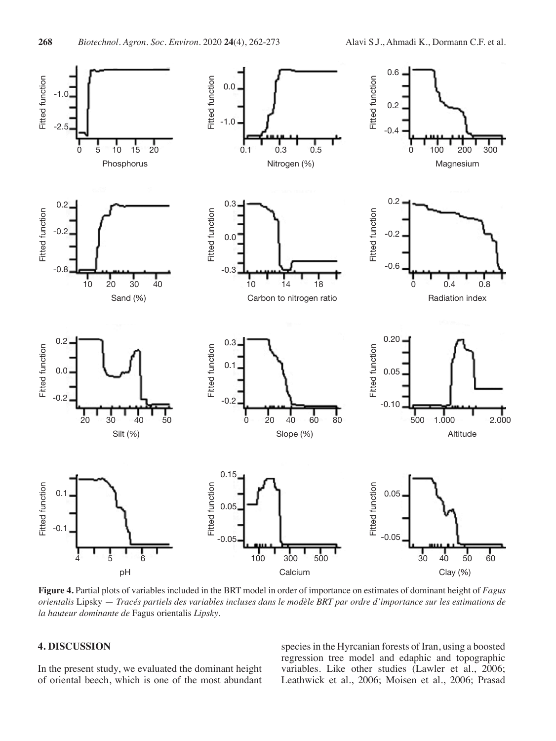

**Figure 4.** Partial plots of variables included in the BRT model in order of importance on estimates of dominant height of *Fagus orientalis* Lipsky — *Tracés partiels des variables incluses dans le modèle BRT par ordre d'importance sur les estimations de la hauteur dominante de* Fagus orientalis *Lipsky*.

# **4. DISCUSSION**

In the present study, we evaluated the dominant height of oriental beech, which is one of the most abundant

species in the Hyrcanian forests of Iran, using a boosted regression tree model and edaphic and topographic variables. Like other studies (Lawler et al., 2006; Leathwick et al., 2006; Moisen et al., 2006; Prasad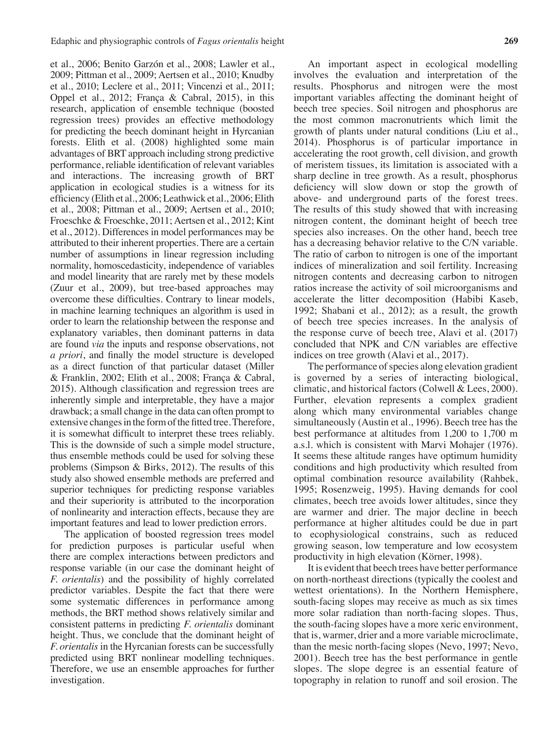et al., 2006; Benito Garzón et al., 2008; Lawler et al., 2009; Pittman et al., 2009; Aertsen et al., 2010; Knudby et al., 2010; Leclere et al., 2011; Vincenzi et al., 2011; Oppel et al., 2012; França & Cabral, 2015), in this research, application of ensemble technique (boosted regression trees) provides an effective methodology for predicting the beech dominant height in Hyrcanian forests. Elith et al. (2008) highlighted some main advantages of BRT approach including strong predictive performance, reliable identification of relevant variables and interactions. The increasing growth of BRT application in ecological studies is a witness for its efficiency (Elith et al., 2006; Leathwick et al., 2006; Elith et al., 2008; Pittman et al., 2009; Aertsen et al., 2010; Froeschke & Froeschke, 2011; Aertsen et al., 2012; Kint et al., 2012). Differences in model performances may be attributed to their inherent properties. There are a certain number of assumptions in linear regression including normality, homoscedasticity, independence of variables and model linearity that are rarely met by these models (Zuur et al., 2009), but tree-based approaches may overcome these difficulties. Contrary to linear models, in machine learning techniques an algorithm is used in order to learn the relationship between the response and explanatory variables, then dominant patterns in data are found *via* the inputs and response observations, not *a priori*, and finally the model structure is developed as a direct function of that particular dataset (Miller & Franklin, 2002; Elith et al., 2008; França & Cabral, 2015). Although classification and regression trees are inherently simple and interpretable, they have a major drawback; a small change in the data can often prompt to extensive changes in the form of the fitted tree. Therefore, it is somewhat difficult to interpret these trees reliably. This is the downside of such a simple model structure, thus ensemble methods could be used for solving these problems (Simpson & Birks, 2012). The results of this study also showed ensemble methods are preferred and superior techniques for predicting response variables and their superiority is attributed to the incorporation of nonlinearity and interaction effects, because they are important features and lead to lower prediction errors.

The application of boosted regression trees model for prediction purposes is particular useful when there are complex interactions between predictors and response variable (in our case the dominant height of *F. orientalis*) and the possibility of highly correlated predictor variables. Despite the fact that there were some systematic differences in performance among methods, the BRT method shows relatively similar and consistent patterns in predicting *F. orientalis* dominant height. Thus, we conclude that the dominant height of *F. orientalis* in the Hyrcanian forests can be successfully predicted using BRT nonlinear modelling techniques. Therefore, we use an ensemble approaches for further investigation.

An important aspect in ecological modelling involves the evaluation and interpretation of the results. Phosphorus and nitrogen were the most important variables affecting the dominant height of beech tree species. Soil nitrogen and phosphorus are the most common macronutrients which limit the growth of plants under natural conditions (Liu et al., 2014). Phosphorus is of particular importance in accelerating the root growth, cell division, and growth of meristem tissues, its limitation is associated with a sharp decline in tree growth. As a result, phosphorus deficiency will slow down or stop the growth of above- and underground parts of the forest trees. The results of this study showed that with increasing nitrogen content, the dominant height of beech tree species also increases. On the other hand, beech tree has a decreasing behavior relative to the C/N variable. The ratio of carbon to nitrogen is one of the important indices of mineralization and soil fertility. Increasing nitrogen contents and decreasing carbon to nitrogen ratios increase the activity of soil microorganisms and accelerate the litter decomposition (Habibi Kaseb, 1992; Shabani et al., 2012); as a result, the growth of beech tree species increases. In the analysis of the response curve of beech tree, Alavi et al. (2017) concluded that NPK and C/N variables are effective indices on tree growth (Alavi et al., 2017).

The performance of species along elevation gradient is governed by a series of interacting biological, climatic, and historical factors (Colwell & Lees, 2000). Further, elevation represents a complex gradient along which many environmental variables change simultaneously (Austin et al., 1996). Beech tree has the best performance at altitudes from 1,200 to 1,700 m a.s.l. which is consistent with Marvi Mohajer (1976). It seems these altitude ranges have optimum humidity conditions and high productivity which resulted from optimal combination resource availability (Rahbek, 1995; Rosenzweig, 1995). Having demands for cool climates, beech tree avoids lower altitudes, since they are warmer and drier. The major decline in beech performance at higher altitudes could be due in part to ecophysiological constrains, such as reduced growing season, low temperature and low ecosystem productivity in high elevation (Körner, 1998).

It is evident that beech trees have better performance on north-northeast directions (typically the coolest and wettest orientations). In the Northern Hemisphere, south-facing slopes may receive as much as six times more solar radiation than north-facing slopes. Thus, the south-facing slopes have a more xeric environment, that is, warmer, drier and a more variable microclimate, than the mesic north-facing slopes (Nevo, 1997; Nevo, 2001). Beech tree has the best performance in gentle slopes. The slope degree is an essential feature of topography in relation to runoff and soil erosion. The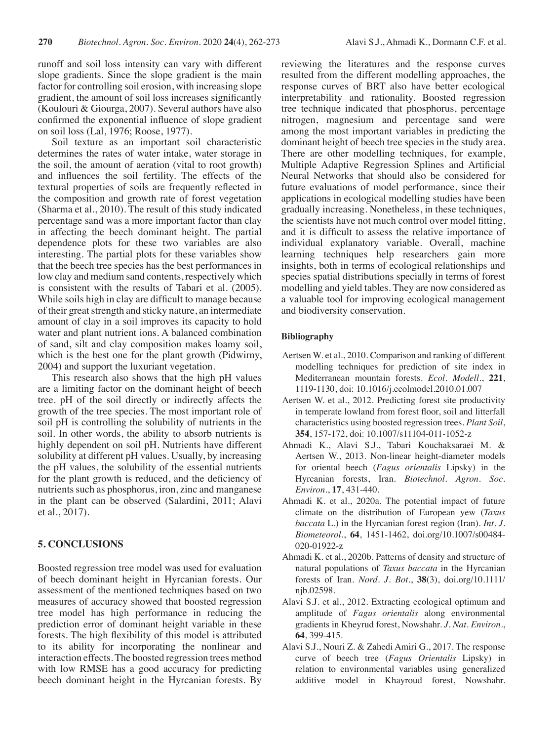runoff and soil loss intensity can vary with different slope gradients. Since the slope gradient is the main factor for controlling soil erosion, with increasing slope gradient, the amount of soil loss increases significantly (Koulouri & Giourga, 2007). Several authors have also confirmed the exponential influence of slope gradient on soil loss (Lal, 1976; Roose, 1977).

Soil texture as an important soil characteristic determines the rates of water intake, water storage in the soil, the amount of aeration (vital to root growth) and influences the soil fertility. The effects of the textural properties of soils are frequently reflected in the composition and growth rate of forest vegetation (Sharma et al., 2010). The result of this study indicated percentage sand was a more important factor than clay in affecting the beech dominant height. The partial dependence plots for these two variables are also interesting. The partial plots for these variables show that the beech tree species has the best performances in low clay and medium sand contents, respectively which is consistent with the results of Tabari et al. (2005). While soils high in clay are difficult to manage because of their great strength and sticky nature, an intermediate amount of clay in a soil improves its capacity to hold water and plant nutrient ions. A balanced combination of sand, silt and clay composition makes loamy soil, which is the best one for the plant growth (Pidwirny, 2004) and support the luxuriant vegetation.

This research also shows that the high pH values are a limiting factor on the dominant height of beech tree. pH of the soil directly or indirectly affects the growth of the tree species. The most important role of soil pH is controlling the solubility of nutrients in the soil. In other words, the ability to absorb nutrients is highly dependent on soil pH. Nutrients have different solubility at different pH values. Usually, by increasing the pH values, the solubility of the essential nutrients for the plant growth is reduced, and the deficiency of nutrients such as phosphorus, iron, zinc and manganese in the plant can be observed (Salardini, 2011; Alavi et al., 2017).

## **5. CONCLUSIONS**

Boosted regression tree model was used for evaluation of beech dominant height in Hyrcanian forests. Our assessment of the mentioned techniques based on two measures of accuracy showed that boosted regression tree model has high performance in reducing the prediction error of dominant height variable in these forests. The high flexibility of this model is attributed to its ability for incorporating the nonlinear and interaction effects. The boosted regression trees method with low RMSE has a good accuracy for predicting beech dominant height in the Hyrcanian forests. By

reviewing the literatures and the response curves resulted from the different modelling approaches, the response curves of BRT also have better ecological interpretability and rationality. Boosted regression tree technique indicated that phosphorus, percentage nitrogen, magnesium and percentage sand were among the most important variables in predicting the dominant height of beech tree species in the study area. There are other modelling techniques, for example, Multiple Adaptive Regression Splines and Artificial Neural Networks that should also be considered for future evaluations of model performance, since their applications in ecological modelling studies have been gradually increasing. Nonetheless, in these techniques, the scientists have not much control over model fitting, and it is difficult to assess the relative importance of individual explanatory variable. Overall, machine learning techniques help researchers gain more insights, both in terms of ecological relationships and species spatial distributions specially in terms of forest modelling and yield tables. They are now considered as a valuable tool for improving ecological management and biodiversity conservation.

## **Bibliography**

- Aertsen W. et al., 2010. Comparison and ranking of different modelling techniques for prediction of site index in Mediterranean mountain forests. *Ecol. Modell*., **221**, 1119-1130, doi: 10.1016/j.ecolmodel.2010.01.007
- Aertsen W. et al., 2012. Predicting forest site productivity in temperate lowland from forest floor, soil and litterfall characteristics using boosted regression trees. *Plant Soil*, **354**, 157-172, doi: 10.1007/s11104-011-1052-z
- Ahmadi K., Alavi S.J., Tabari Kouchaksaraei M. & Aertsen W., 2013. Non-linear height-diameter models for oriental beech (*Fagus orientalis* Lipsky) in the Hyrcanian forests, Iran. *Biotechnol. Agron. Soc. Environ*., **17**, 431-440.
- Ahmadi K. et al., 2020a. The potential impact of future climate on the distribution of European yew (*Taxus baccata* L.) in the Hyrcanian forest region (Iran). *Int. J. Biometeorol.*, **64**, 1451-1462, doi.org/10.1007/s00484- 020-01922-z
- Ahmadi K. et al., 2020b. Patterns of density and structure of natural populations of *Taxus baccata* in the Hyrcanian forests of Iran. *Nord. J. Bot.*, **38**(3), doi.org/10.1111/ njb.02598.
- Alavi S.J. et al., 2012. Extracting ecological optimum and amplitude of *Fagus orientalis* along environmental gradients in Kheyrud forest, Nowshahr. *J. Nat. Environ*., **64**, 399-415.
- Alavi S.J., Nouri Z. & Zahedi Amiri G., 2017. The response curve of beech tree (*Fagus Orientalis* Lipsky) in relation to environmental variables using generalized additive model in Khayroud forest, Nowshahr.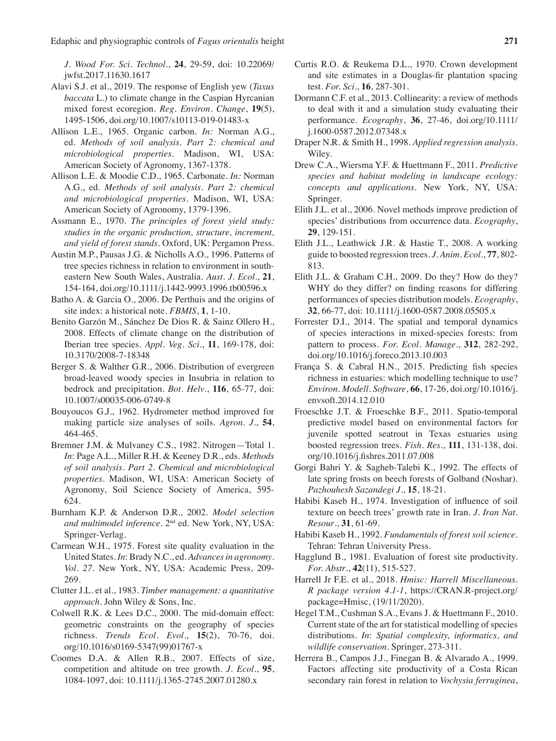*J. Wood For. Sci. Technol.*, **24**, 29-59, doi: 10.22069/ jwfst.2017.11630.1617

- Alavi S.J. et al., 2019. The response of English yew (*Taxus baccata* L.) to climate change in the Caspian Hyrcanian mixed forest ecoregion. *Reg. Environ. Change*, **19**(5), 1495-1506, doi.org/10.1007/s10113-019-01483-x
- Allison L.E., 1965. Organic carbon. *In:* Norman A.G., ed. *Methods of soil analysis. Part 2: chemical and microbiological properties*. Madison, WI, USA: American Society of Agronomy, 1367-1378.
- Allison L.E. & Moodie C.D., 1965. Carbonate. *In:* Norman A.G., ed. *Methods of soil analysis. Part 2: chemical and microbiological properties*. Madison, WI, USA: American Society of Agronomy, 1379-1396.
- Assmann E., 1970. *The principles of forest yield study: studies in the organic production, structure, increment, and yield of forest stands*. Oxford, UK: Pergamon Press.
- Austin M.P., Pausas J.G. & Nicholls A.O., 1996. Patterns of tree species richness in relation to environment in southeastern New South Wales, Australia. *Aust. J. Ecol*., **21**, 154-164, doi.org/10.1111/j.1442-9993.1996.tb00596.x
- Batho A. & Garcia O., 2006. De Perthuis and the origins of site index: a historical note. *FBMIS*, **1**, 1-10.
- Benito Garzón M., Sánchez De Dios R. & Sainz Ollero H., 2008. Effects of climate change on the distribution of Iberian tree species. *Appl. Veg. Sci*., **11**, 169-178, doi: 10.3170/2008-7-18348
- Berger S. & Walther G.R., 2006. Distribution of evergreen broad-leaved woody species in Insubria in relation to bedrock and precipitation. *Bot. Helv*., **116**, 65-77, doi: 10.1007/s00035-006-0749-8
- Bouyoucos G.J., 1962. Hydrometer method improved for making particle size analyses of soils. *Agron. J*., **54**, 464-465.
- Bremner J.M. & Mulvaney C.S., 1982. Nitrogen—Total 1. *In*: Page A.L., Miller R.H. & Keeney D.R., eds. *Methods of soil analysis. Part 2. Chemical and microbiological properties.* Madison, WI, USA: American Society of Agronomy, Soil Science Society of America, 595- 624.
- Burnham K.P. & Anderson D.R., 2002. *Model selection and multimodel inference*. 2nd ed. New York, NY, USA: Springer-Verlag.
- Carmean W.H., 1975. Forest site quality evaluation in the United States. *In*: Brady N.C., ed. *Advances in agronomy*. *Vol. 27*. New York, NY, USA: Academic Press, 209- 269.
- Clutter J.L. et al., 1983. *Timber management: a quantitative approach*. John Wiley & Sons, Inc.
- Colwell R.K. & Lees D.C., 2000. The mid-domain effect: geometric constraints on the geography of species richness. *Trends Ecol. Evol*., **15**(2), 70-76, doi. org/10.1016/s0169-5347(99)01767-x
- Coomes D.A. & Allen R.B., 2007. Effects of size, competition and altitude on tree growth. *J. Ecol*., **95**, 1084-1097, doi: 10.1111/j.1365-2745.2007.01280.x
- Curtis R.O. & Reukema D.L., 1970. Crown development and site estimates in a Douglas-fir plantation spacing test. *For. Sci*., **16**, 287-301.
- Dormann C.F. et al., 2013. Collinearity: a review of methods to deal with it and a simulation study evaluating their performance. *Ecography*, **36**, 27-46, doi.org/10.1111/ j.1600-0587.2012.07348.x
- Draper N.R. & Smith H., 1998. *Applied regression analysis*. Wiley.
- Drew C.A., Wiersma Y.F. & Huettmann F., 2011. *Predictive species and habitat modeling in landscape ecology: concepts and applications*. New York, NY, USA: Springer.
- Elith J.L. et al., 2006. Novel methods improve prediction of species' distributions from occurrence data. *Ecography*, **29**, 129-151.
- Elith J.L., Leathwick J.R. & Hastie T., 2008. A working guide to boosted regression trees. *J. Anim. Ecol.*, **77**, 802- 813.
- Elith J.L. & Graham C.H., 2009. Do they? How do they? WHY do they differ? on finding reasons for differing performances of species distribution models. *Ecography*, **32**, 66-77, doi: 10.1111/j.1600-0587.2008.05505.x
- Forrester D.I., 2014. The spatial and temporal dynamics of species interactions in mixed-species forests: from pattern to process. *For. Ecol. Manage*., **312**, 282-292, doi.org/10.1016/j.foreco.2013.10.003
- França S. & Cabral H.N., 2015. Predicting fish species richness in estuaries: which modelling technique to use? *Environ. Modell. Software*, **66**, 17-26, doi.org/10.1016/j. envsoft.2014.12.010
- Froeschke J.T. & Froeschke B.F., 2011. Spatio-temporal predictive model based on environmental factors for juvenile spotted seatrout in Texas estuaries using boosted regression trees. *Fish. Res*., **111**, 131-138, doi. org/10.1016/j.fishres.2011.07.008
- Gorgi Bahri Y. & Sagheb-Talebi K., 1992. The effects of late spring frosts on beech forests of Golband (Noshar). *Pazhouhesh Sazandegi J*., **15**, 18-21.
- Habibi Kaseb H., 1974. Investigation of influence of soil texture on beech trees' growth rate in Iran. *J. Iran Nat. Resour*., **31**, 61-69.
- Habibi Kaseb H., 1992. *Fundamentals of forest soil science*. Tehran: Tehran University Press.
- Hagglund B., 1981. Evaluation of forest site productivity. *For. Abstr*., **42**(11), 515-527.
- Harrell Jr F.E. et al., 2018. *Hmisc: Harrell Miscellaneous. R package version 4.1-1*, https://CRAN.R-project.org/ package=Hmisc, (19/11/2020).
- Hegel T.M., Cushman S.A., Evans J. & Huettmann F., 2010. Current state of the art for statistical modelling of species distributions. *In*: *Spatial complexity, informatics, and wildlife conservation*. Springer, 273-311.
- Herrera B., Campos J.J., Finegan B. & Alvarado A., 1999. Factors affecting site productivity of a Costa Rican secondary rain forest in relation to *Vochysia ferruginea*,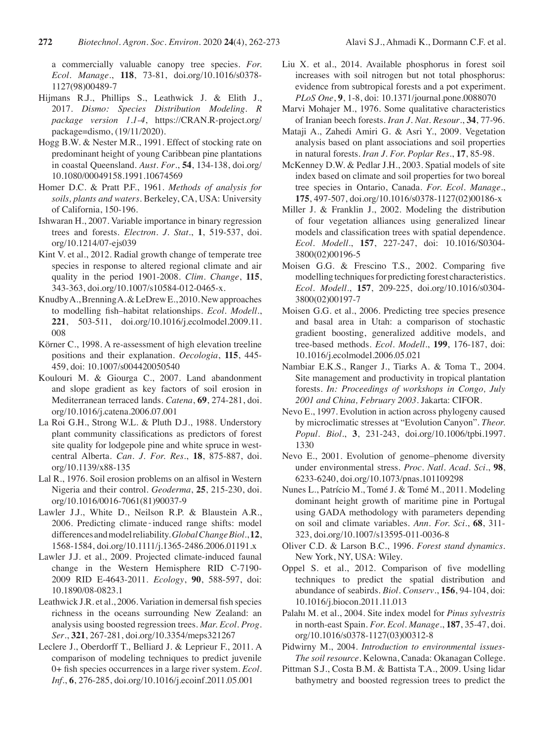a commercially valuable canopy tree species. *For. Ecol. Manage*., **118**, 73-81, doi.org/10.1016/s0378- 1127(98)00489-7

- Hijmans R.J., Phillips S., Leathwick J. & Elith J., 2017. *Dismo: Species Distribution Modeling. R package version 1.1-4*, https://CRAN.R-project.org/ package=dismo, (19/11/2020).
- Hogg B.W. & Nester M.R., 1991. Effect of stocking rate on predominant height of young Caribbean pine plantations in coastal Queensland. *Aust. For*., **54**, 134-138, doi.org/ 10.1080/00049158.1991.10674569
- Homer D.C. & Pratt P.F., 1961. *Methods of analysis for soils, plants and waters*. Berkeley, CA, USA: University of California, 150-196.
- Ishwaran H., 2007. Variable importance in binary regression trees and forests. *Electron. J. Stat*., **1**, 519-537, doi. org/10.1214/07-ejs039
- Kint V. et al., 2012. Radial growth change of temperate tree species in response to altered regional climate and air quality in the period 1901-2008. *Clim. Change*, **115**, 343-363, doi.org/10.1007/s10584-012-0465-x.
- KnudbyA., BrenningA. & LeDrewE., 2010. New approaches to modelling fish–habitat relationships. *Ecol. Modell*., **221**, 503-511, doi.org/10.1016/j.ecolmodel.2009.11. 008
- Körner C., 1998. A re-assessment of high elevation treeline positions and their explanation. *Oecologia*, **115**, 445- 459, doi: 10.1007/s004420050540
- Koulouri M. & Giourga C., 2007. Land abandonment and slope gradient as key factors of soil erosion in Mediterranean terraced lands. *Catena*, **69**, 274-281, doi. org/10.1016/j.catena.2006.07.001
- La Roi G.H., Strong W.L. & Pluth D.J., 1988. Understory plant community classifications as predictors of forest site quality for lodgepole pine and white spruce in westcentral Alberta. *Can. J. For. Res.*, **18**, 875-887, doi. org/10.1139/x88-135
- Lal R., 1976. Soil erosion problems on an alfisol in Western Nigeria and their control. *Geoderma*, **25**, 215-230, doi. org/10.1016/0016-7061(81)90037-9
- Lawler J.J., White D., Neilson R.P. & Blaustein A.R., 2006. Predicting climate‐induced range shifts: model differences and model reliability. *Global Change Biol*., **12**, 1568-1584, doi.org/10.1111/j.1365-2486.2006.01191.x
- Lawler J.J. et al., 2009. Projected climate-induced faunal change in the Western Hemisphere RID C-7190- 2009 RID E-4643-2011. *Ecology*, **90**, 588-597, doi: 10.1890/08-0823.1
- Leathwick J.R. et al., 2006. Variation in demersal fish species richness in the oceans surrounding New Zealand: an analysis using boosted regression trees. *Mar. Ecol. Prog. Ser*., **321**, 267-281, doi.org/10.3354/meps321267
- Leclere J., Oberdorff T., Belliard J. & Leprieur F., 2011. A comparison of modeling techniques to predict juvenile 0+ fish species occurrences in a large river system. *Ecol. Inf.*, **6**, 276-285, doi.org/10.1016/j.ecoinf.2011.05.001
- Liu X. et al., 2014. Available phosphorus in forest soil increases with soil nitrogen but not total phosphorus: evidence from subtropical forests and a pot experiment. *PLoS One*, **9**, 1-8, doi: 10.1371/journal.pone.0088070
- Marvi Mohajer M., 1976. Some qualitative characteristics of Iranian beech forests. *Iran J. Nat. Resour*., **34**, 77-96.
- Mataji A., Zahedi Amiri G. & Asri Y., 2009. Vegetation analysis based on plant associations and soil properties in natural forests. *Iran J. For. Poplar Res*., **17**, 85-98.
- McKenney D.W. & Pedlar J.H., 2003. Spatial models of site index based on climate and soil properties for two boreal tree species in Ontario, Canada. *For. Ecol. Manage*., **175**, 497-507, doi.org/10.1016/s0378-1127(02)00186-x
- Miller J. & Franklin J., 2002. Modeling the distribution of four vegetation alliances using generalized linear models and classification trees with spatial dependence. *Ecol. Modell*., **157**, 227-247, doi: 10.1016/S0304- 3800(02)00196-5
- Moisen G.G. & Frescino T.S., 2002. Comparing five modelling techniques for predicting forest characteristics. *Ecol. Modell*., **157**, 209-225, doi.org/10.1016/s0304- 3800(02)00197-7
- Moisen G.G. et al., 2006. Predicting tree species presence and basal area in Utah: a comparison of stochastic gradient boosting, generalized additive models, and tree-based methods. *Ecol. Modell*., **199**, 176-187, doi: 10.1016/j.ecolmodel.2006.05.021
- Nambiar E.K.S., Ranger J., Tiarks A. & Toma T., 2004. Site management and productivity in tropical plantation forests. *In: Proceedings of workshops in Congo, July 2001 and China, February 2003.* Jakarta: CIFOR.
- Nevo E., 1997. Evolution in action across phylogeny caused by microclimatic stresses at "Evolution Canyon". *Theor. Popul. Biol*., **3**, 231-243, doi.org/10.1006/tpbi.1997. 1330
- Nevo E., 2001. Evolution of genome–phenome diversity under environmental stress. *Proc. Natl. Acad. Sci.*, **98**, 6233-6240, doi.org/10.1073/pnas.101109298
- Nunes L., Patrício M., Tomé J. & Tomé M., 2011. Modeling dominant height growth of maritime pine in Portugal using GADA methodology with parameters depending on soil and climate variables. *Ann. For. Sci*., **68**, 311- 323, doi.org/10.1007/s13595-011-0036-8
- Oliver C.D. & Larson B.C., 1996. *Forest stand dynamics*. New York, NY, USA: Wiley.
- Oppel S. et al., 2012. Comparison of five modelling techniques to predict the spatial distribution and abundance of seabirds. *Biol. Conserv*., **156**, 94-104, doi: 10.1016/j.biocon.2011.11.013
- Palahı M. et al., 2004. Site index model for *Pinus sylvestris* in north-east Spain. *For. Ecol. Manage*., **187**, 35-47, doi. org/10.1016/s0378-1127(03)00312-8
- Pidwirny M., 2004. *Introduction to environmental issues-The soil resource.* Kelowna, Canada: Okanagan College.
- Pittman S.J., Costa B.M. & Battista T.A., 2009. Using lidar bathymetry and boosted regression trees to predict the